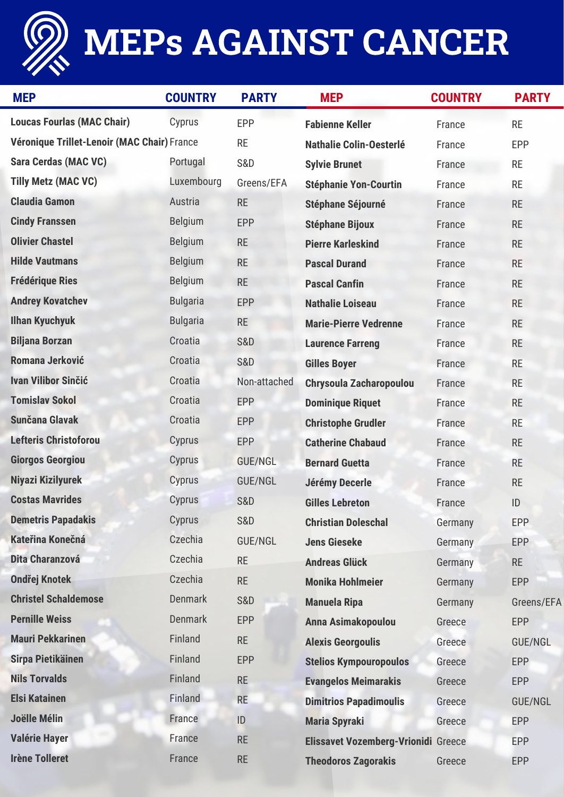

## MEPs AGAINST CANCER

| <b>MEP</b>                                  | <b>COUNTRY</b>  | <b>PARTY</b>   | <b>MEP</b>                                 | <b>COUNTRY</b> | <b>PARTY</b>   |
|---------------------------------------------|-----------------|----------------|--------------------------------------------|----------------|----------------|
| <b>Loucas Fourlas (MAC Chair)</b>           | Cyprus          | EPP            | <b>Fabienne Keller</b>                     | France         | <b>RE</b>      |
| Véronique Trillet-Lenoir (MAC Chair) France |                 | <b>RE</b>      | <b>Nathalie Colin-Oesterlé</b>             | France         | <b>EPP</b>     |
| <b>Sara Cerdas (MAC VC)</b>                 | Portugal        | <b>S&amp;D</b> | <b>Sylvie Brunet</b>                       | France         | <b>RE</b>      |
| <b>Tilly Metz (MAC VC)</b>                  | Luxembourg      | Greens/EFA     | <b>Stéphanie Yon-Courtin</b>               | France         | <b>RE</b>      |
| <b>Claudia Gamon</b>                        | Austria         | <b>RE</b>      | <b>Stéphane Séjourné</b>                   | France         | <b>RE</b>      |
| <b>Cindy Franssen</b>                       | <b>Belgium</b>  | <b>EPP</b>     | <b>Stéphane Bijoux</b>                     | France         | <b>RE</b>      |
| <b>Olivier Chastel</b>                      | <b>Belgium</b>  | <b>RE</b>      | <b>Pierre Karleskind</b>                   | France         | <b>RE</b>      |
| <b>Hilde Vautmans</b>                       | <b>Belgium</b>  | <b>RE</b>      | <b>Pascal Durand</b>                       | France         | <b>RE</b>      |
| <b>Frédérique Ries</b>                      | <b>Belgium</b>  | <b>RE</b>      | <b>Pascal Canfin</b>                       | France         | <b>RE</b>      |
| <b>Andrey Kovatchev</b>                     | <b>Bulgaria</b> | <b>EPP</b>     | <b>Nathalie Loiseau</b>                    | France         | <b>RE</b>      |
| <b>Ilhan Kyuchyuk</b>                       | <b>Bulgaria</b> | <b>RE</b>      | <b>Marie-Pierre Vedrenne</b>               | France         | <b>RE</b>      |
| <b>Biljana Borzan</b>                       | Croatia         | <b>S&amp;D</b> | <b>Laurence Farreng</b>                    | France         | <b>RE</b>      |
| Romana Jerković                             | Croatia         | <b>S&amp;D</b> | <b>Gilles Boyer</b>                        | France         | <b>RE</b>      |
| <b>Ivan Vilibor Sinčić</b>                  | Croatia         | Non-attached   | <b>Chrysoula Zacharopoulou</b>             | France         | <b>RE</b>      |
| <b>Tomislav Sokol</b>                       | Croatia         | <b>EPP</b>     | <b>Dominique Riquet</b>                    | France         | <b>RE</b>      |
| <b>Sunčana Glavak</b>                       | Croatia         | <b>EPP</b>     | <b>Christophe Grudler</b>                  | France         | <b>RE</b>      |
| <b>Lefteris Christoforou</b>                | Cyprus          | <b>EPP</b>     | <b>Catherine Chabaud</b>                   | France         | <b>RE</b>      |
| <b>Giorgos Georgiou</b>                     | Cyprus          | <b>GUE/NGL</b> | <b>Bernard Guetta</b>                      | France         | <b>RE</b>      |
| Niyazi Kizilyurek                           | Cyprus          | <b>GUE/NGL</b> | Jérémy Decerle                             | France         | <b>RE</b>      |
| <b>Costas Mavrides</b>                      | Cyprus          | <b>S&amp;D</b> | <b>Gilles Lebreton</b>                     | France         | ID             |
| <b>Demetris Papadakis</b>                   | Cyprus          | <b>S&amp;D</b> | <b>Christian Doleschal</b>                 | Germany        | <b>EPP</b>     |
| <b>Kateřina Konečná</b>                     | Czechia         | GUE/NGL        | <b>Jens Gieseke</b>                        | Germany        | <b>EPP</b>     |
| Dita Charanzová                             | Czechia         | <b>RE</b>      | <b>Andreas Glück</b>                       | Germany        | <b>RE</b>      |
| <b>Ondřej Knotek</b>                        | Czechia         | <b>RE</b>      | <b>Monika Hohlmeier</b>                    | Germany        | <b>EPP</b>     |
| <b>Christel Schaldemose</b>                 | <b>Denmark</b>  | <b>S&amp;D</b> | <b>Manuela Ripa</b>                        | Germany        | Greens/EFA     |
| <b>Pernille Weiss</b>                       | <b>Denmark</b>  | <b>EPP</b>     | Anna Asimakopoulou                         | Greece         | <b>EPP</b>     |
| <b>Mauri Pekkarinen</b>                     | Finland         | <b>RE</b>      | <b>Alexis Georgoulis</b>                   | Greece         | <b>GUE/NGL</b> |
| <b>Sirpa Pietikäinen</b>                    | Finland         | <b>EPP</b>     | <b>Stelios Kympouropoulos</b>              | Greece         | <b>EPP</b>     |
| <b>Nils Torvalds</b>                        | Finland         | <b>RE</b>      | <b>Evangelos Meimarakis</b>                | Greece         | <b>EPP</b>     |
| <b>Elsi Katainen</b>                        | Finland         | <b>RE</b>      | <b>Dimitrios Papadimoulis</b>              | Greece         | <b>GUE/NGL</b> |
| <b>Joëlle Mélin</b>                         | France          | ID             | <b>Maria Spyraki</b>                       | Greece         | <b>EPP</b>     |
| <b>Valérie Hayer</b>                        | France          | <b>RE</b>      | <b>Elissavet Vozemberg-Vrionidi Greece</b> |                | <b>EPP</b>     |
| <b>Irène Tolleret</b>                       | France          | <b>RE</b>      | <b>Theodoros Zagorakis</b>                 | Greece         | <b>EPP</b>     |